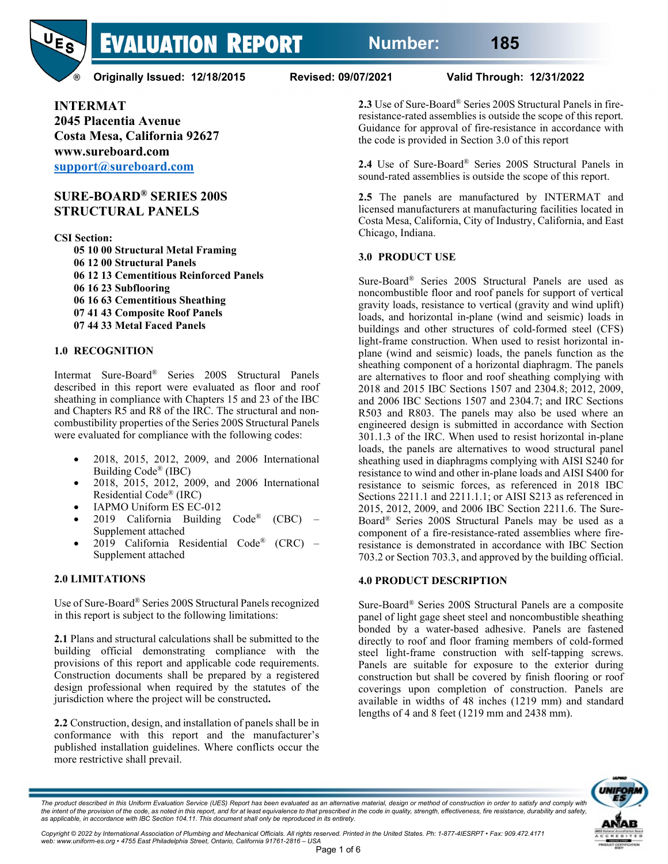

**Originally Issued: 12/18/2015 Revised: 09/07/2021 Valid Through: 12/31/2022**

**INTERMAT 2045 Placentia Avenue Costa Mesa, California 92627 www.sureboard.com [support@sureboard.com](mailto:support@sureboard.com)**

## **SURE-BOARD® SERIES 200S STRUCTURAL PANELS**

**CSI Section:**

- **05 10 00 Structural Metal Framing**
- **06 12 00 Structural Panels 06 12 13 Cementitious Reinforced Panels 06 16 23 Subflooring 06 16 63 Cementitious Sheathing 07 41 43 Composite Roof Panels**
- **07 44 33 Metal Faced Panels**

## **1.0 RECOGNITION**

Intermat Sure-Board® Series 200S Structural Panels described in this report were evaluated as floor and roof sheathing in compliance with Chapters 15 and 23 of the IBC and Chapters R5 and R8 of the IRC. The structural and noncombustibility properties of the Series 200S Structural Panels were evaluated for compliance with the following codes:

- 2018, 2015, 2012, 2009, and 2006 International Building Code® (IBC)
- 2018, 2015, 2012, 2009, and 2006 International Residential Code® (IRC)
- IAPMO Uniform ES EC-012
- 2019 California Building  $Code^{\otimes}$  (CBC) Supplement attached
- 2019 California Residential Code® (CRC) Supplement attached

## **2.0 LIMITATIONS**

Use of Sure-Board® Series 200S Structural Panels recognized in this report is subject to the following limitations:

**2.1** Plans and structural calculations shall be submitted to the building official demonstrating compliance with the provisions of this report and applicable code requirements. Construction documents shall be prepared by a registered design professional when required by the statutes of the jurisdiction where the project will be constructed**.**

**2.2** Construction, design, and installation of panels shall be in conformance with this report and the manufacturer's published installation guidelines. Where conflicts occur the more restrictive shall prevail.

**2.3** Use of Sure-Board® Series 200S Structural Panels in fireresistance-rated assemblies is outside the scope of this report. Guidance for approval of fire-resistance in accordance with the code is provided in Section 3.0 of this report

**2.4** Use of Sure-Board® Series 200S Structural Panels in sound-rated assemblies is outside the scope of this report.

**2.5** The panels are manufactured by INTERMAT and licensed manufacturers at manufacturing facilities located in Costa Mesa, California, City of Industry, California, and East Chicago, Indiana.

## **3.0 PRODUCT USE**

Sure-Board® Series 200S Structural Panels are used as noncombustible floor and roof panels for support of vertical gravity loads, resistance to vertical (gravity and wind uplift) loads, and horizontal in-plane (wind and seismic) loads in buildings and other structures of cold-formed steel (CFS) light-frame construction. When used to resist horizontal inplane (wind and seismic) loads, the panels function as the sheathing component of a horizontal diaphragm. The panels are alternatives to floor and roof sheathing complying with 2018 and 2015 IBC Sections 1507 and 2304.8; 2012, 2009, and 2006 IBC Sections 1507 and 2304.7; and IRC Sections R503 and R803. The panels may also be used where an engineered design is submitted in accordance with Section 301.1.3 of the IRC. When used to resist horizontal in-plane loads, the panels are alternatives to wood structural panel sheathing used in diaphragms complying with AISI S240 for resistance to wind and other in-plane loads and AISI S400 for resistance to seismic forces, as referenced in 2018 IBC Sections 2211.1 and 2211.1.1; or AISI S213 as referenced in 2015, 2012, 2009, and 2006 IBC Section 2211.6. The Sure-Board® Series 200S Structural Panels may be used as a component of a fire-resistance-rated assemblies where fireresistance is demonstrated in accordance with IBC Section 703.2 or Section 703.3, and approved by the building official.

## **4.0 PRODUCT DESCRIPTION**

Sure-Board® Series 200S Structural Panels are a composite panel of light gage sheet steel and noncombustible sheathing bonded by a water-based adhesive. Panels are fastened directly to roof and floor framing members of cold-formed steel light-frame construction with self-tapping screws. Panels are suitable for exposure to the exterior during construction but shall be covered by finish flooring or roof coverings upon completion of construction. Panels are available in widths of 48 inches (1219 mm) and standard lengths of 4 and 8 feet (1219 mm and 2438 mm).



*The product described in this Uniform Evaluation Service (UES) Report has been evaluated as an alternative material, design or method of construction in order to satisfy and comply with*  the intent of the provision of the code, as noted in this report, and for at least equivalence to that prescribed in the code in quality, strength, effectiveness, fire resistance, durability and safety,<br>as applicable, in a

Copyright © 2022 by International Association of Plumbing and Mechanical Officials. All rights reserved. Printed in the United States. Ph: 1-877-4IESRPT • Fax: 909.472.4171<br>web: www.uniform-es.org • 4755 East Philadelphia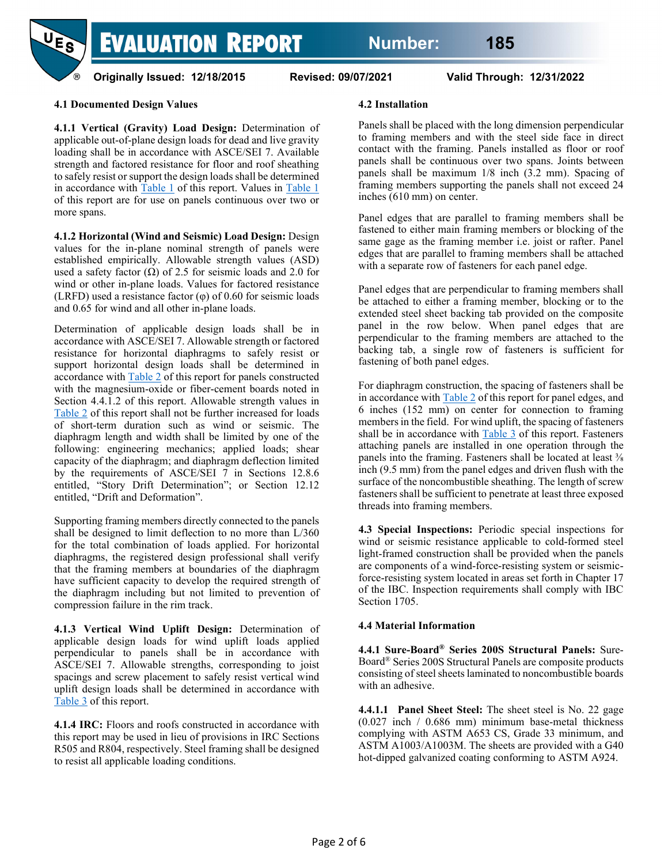

**Originally Issued: 12/18/2015 Revised: 09/07/2021 Valid Through: 12/31/2022**

## **4.1 Documented Design Values**

**4.1.1 Vertical (Gravity) Load Design:** Determination of applicable out-of-plane design loads for dead and live gravity loading shall be in accordance with ASCE/SEI 7. Available strength and factored resistance for floor and roof sheathing to safely resist or support the design loads shall be determined in accordance with [Table 1](#page-2-0) of this report. Values in Table 1 of this report are for use on panels continuous over two or more spans.

**4.1.2 Horizontal (Wind and Seismic) Load Design:** Design values for the in-plane nominal strength of panels were established empirically. Allowable strength values (ASD) used a safety factor  $(\Omega)$  of 2.5 for seismic loads and 2.0 for wind or other in-plane loads. Values for factored resistance (LRFD) used a resistance factor  $(\varphi)$  of 0.60 for seismic loads and 0.65 for wind and all other in-plane loads.

Determination of applicable design loads shall be in accordance with ASCE/SEI 7. Allowable strength or factored resistance for horizontal diaphragms to safely resist or support horizontal design loads shall be determined in accordance wit[h Table 2](#page-3-0) of this report for panels constructed with the magnesium-oxide or fiber-cement boards noted in Section 4.4.1.2 of this report. Allowable strength values in [Table 2](#page-3-0) of this report shall not be further increased for loads of short-term duration such as wind or seismic. The diaphragm length and width shall be limited by one of the following: engineering mechanics; applied loads; shear capacity of the diaphragm; and diaphragm deflection limited by the requirements of ASCE/SEI 7 in Sections 12.8.6 entitled, "Story Drift Determination"; or Section 12.12 entitled, "Drift and Deformation".

Supporting framing members directly connected to the panels shall be designed to limit deflection to no more than L/360 for the total combination of loads applied. For horizontal diaphragms, the registered design professional shall verify that the framing members at boundaries of the diaphragm have sufficient capacity to develop the required strength of the diaphragm including but not limited to prevention of compression failure in the rim track.

**4.1.3 Vertical Wind Uplift Design:** Determination of applicable design loads for wind uplift loads applied perpendicular to panels shall be in accordance with ASCE/SEI 7. Allowable strengths, corresponding to joist spacings and screw placement to safely resist vertical wind uplift design loads shall be determined in accordance with [Table 3](#page-3-1) of this report.

**4.1.4 IRC:** Floors and roofs constructed in accordance with this report may be used in lieu of provisions in IRC Sections R505 and R804, respectively. Steel framing shall be designed to resist all applicable loading conditions.

#### **4.2 Installation**

Panels shall be placed with the long dimension perpendicular to framing members and with the steel side face in direct contact with the framing. Panels installed as floor or roof panels shall be continuous over two spans. Joints between panels shall be maximum 1/8 inch (3.2 mm). Spacing of framing members supporting the panels shall not exceed 24 inches (610 mm) on center.

Panel edges that are parallel to framing members shall be fastened to either main framing members or blocking of the same gage as the framing member i.e. joist or rafter. Panel edges that are parallel to framing members shall be attached with a separate row of fasteners for each panel edge.

Panel edges that are perpendicular to framing members shall be attached to either a framing member, blocking or to the extended steel sheet backing tab provided on the composite panel in the row below. When panel edges that are perpendicular to the framing members are attached to the backing tab, a single row of fasteners is sufficient for fastening of both panel edges.

For diaphragm construction, the spacing of fasteners shall be in accordance with  $Table 2$  of this report for panel edges, and 6 inches (152 mm) on center for connection to framing members in the field. For wind uplift, the spacing of fasteners shall be in accordance with  $Table 3$  of this report. Fasteners attaching panels are installed in one operation through the panels into the framing. Fasteners shall be located at least  $\frac{3}{8}$ inch (9.5 mm) from the panel edges and driven flush with the surface of the noncombustible sheathing. The length of screw fasteners shall be sufficient to penetrate at least three exposed threads into framing members.

**4.3 Special Inspections:** Periodic special inspections for wind or seismic resistance applicable to cold-formed steel light-framed construction shall be provided when the panels are components of a wind-force-resisting system or seismicforce-resisting system located in areas set forth in Chapter 17 of the IBC. Inspection requirements shall comply with IBC Section 1705.

#### **4.4 Material Information**

**4.4.1 Sure-Board® Series 200S Structural Panels:** Sure-Board® Series 200S Structural Panels are composite products consisting of steel sheets laminated to noncombustible boards with an adhesive.

**4.4.1.1 Panel Sheet Steel:** The sheet steel is No. 22 gage (0.027 inch / 0.686 mm) minimum base-metal thickness complying with ASTM A653 CS, Grade 33 minimum, and ASTM A1003/A1003M. The sheets are provided with a G40 hot-dipped galvanized coating conforming to ASTM A924.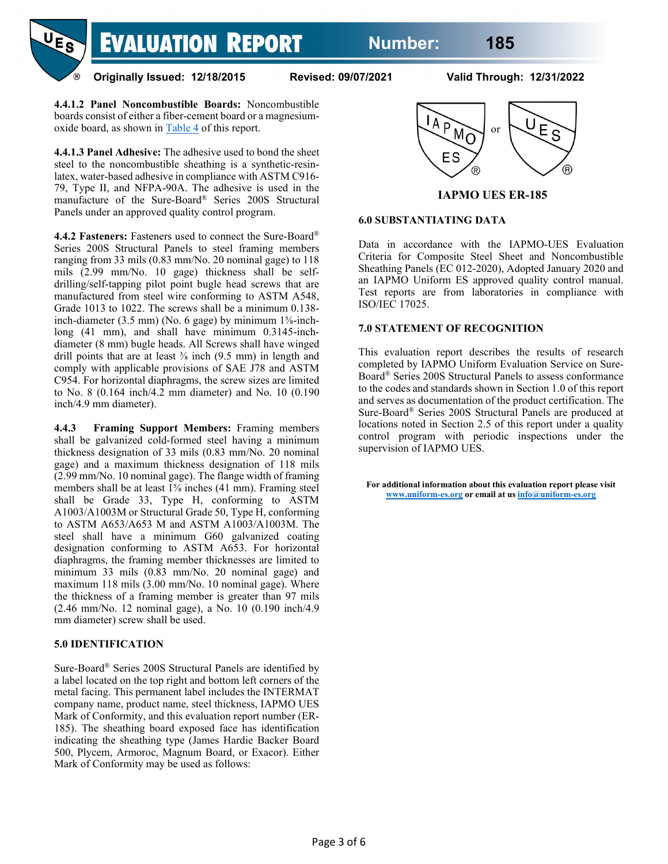

**Originally Issued: 12/18/2015 Revised: 09/07/2021 Valid Through: 12/31/2022**

**4.4.1.2 Panel Noncombustible Boards:** Noncombustible boards consist of either a fiber-cement board or a magnesiumoxide board, as shown in [Table 4](#page-4-0) of this report.

**4.4.1.3 Panel Adhesive:** The adhesive used to bond the sheet steel to the noncombustible sheathing is a synthetic-resinlatex, water-based adhesive in compliance with ASTM C916- 79, Type II, and NFPA-90A. The adhesive is used in the manufacture of the Sure-Board® Series 200S Structural Panels under an approved quality control program.

**4.4.2 Fasteners:** Fasteners used to connect the Sure-Board® Series 200S Structural Panels to steel framing members ranging from 33 mils (0.83 mm/No. 20 nominal gage) to 118 mils (2.99 mm/No. 10 gage) thickness shall be selfdrilling/self-tapping pilot point bugle head screws that are manufactured from steel wire conforming to ASTM A548, Grade 1013 to 1022. The screws shall be a minimum 0.138 inch-diameter (3.5 mm) (No. 6 gage) by minimum 1⅝-inchlong (41 mm), and shall have minimum 0.3145-inchdiameter (8 mm) bugle heads. All Screws shall have winged drill points that are at least  $\frac{3}{8}$  inch (9.5 mm) in length and comply with applicable provisions of SAE J78 and ASTM C954. For horizontal diaphragms, the screw sizes are limited to No. 8 (0.164 inch/4.2 mm diameter) and No. 10 (0.190 inch/4.9 mm diameter).

**4.4.3 Framing Support Members:** Framing members shall be galvanized cold-formed steel having a minimum thickness designation of 33 mils (0.83 mm/No. 20 nominal gage) and a maximum thickness designation of 118 mils (2.99 mm/No. 10 nominal gage). The flange width of framing members shall be at least 1⅝ inches (41 mm). Framing steel shall be Grade 33, Type H, conforming to ASTM A1003/A1003M or Structural Grade 50, Type H, conforming to ASTM A653/A653 M and ASTM A1003/A1003M. The steel shall have a minimum G60 galvanized coating designation conforming to ASTM A653. For horizontal diaphragms, the framing member thicknesses are limited to minimum 33 mils (0.83 mm/No. 20 nominal gage) and maximum 118 mils (3.00 mm/No. 10 nominal gage). Where the thickness of a framing member is greater than 97 mils (2.46 mm/No. 12 nominal gage), a No. 10 (0.190 inch/4.9 mm diameter) screw shall be used.

## **5.0 IDENTIFICATION**

<span id="page-2-0"></span>Sure-Board® Series 200S Structural Panels are identified by a label located on the top right and bottom left corners of the metal facing. This permanent label includes the INTERMAT company name, product name, steel thickness, IAPMO UES Mark of Conformity, and this evaluation report number (ER-185). The sheathing board exposed face has identification indicating the sheathing type (James Hardie Backer Board 500, Plycem, Armoroc, Magnum Board, or Exacor). Either Mark of Conformity may be used as follows:



**IAPMO UES ER-185**

#### **6.0 SUBSTANTIATING DATA**

Data in accordance with the IAPMO-UES Evaluation Criteria for Composite Steel Sheet and Noncombustible Sheathing Panels (EC 012-2020), Adopted January 2020 and an IAPMO Uniform ES approved quality control manual. Test reports are from laboratories in compliance with ISO/IEC 17025.

#### **7.0 STATEMENT OF RECOGNITION**

This evaluation report describes the results of research completed by IAPMO Uniform Evaluation Service on Sure-Board® Series 200S Structural Panels to assess conformance to the codes and standards shown in Section 1.0 of this report and serves as documentation of the product certification. The Sure-Board® Series 200S Structural Panels are produced at locations noted in Section 2.5 of this report under a quality control program with periodic inspections under the supervision of IAPMO UES.

**For additional information about this evaluation report please visit [www.uniform-es.org](http://www.uniform-es.org/) or email at u[s info@uniform-es.org](mailto:info@uniform-es.org)**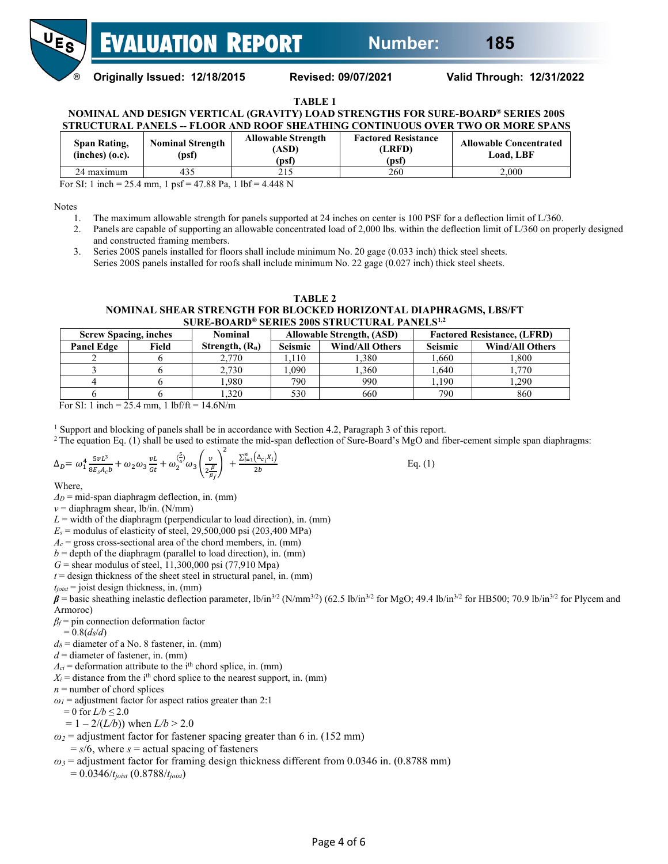

**Originally Issued: 12/18/2015 Revised: 09/07/2021 Valid Through: 12/31/2022**

#### **TABLE 1**

**NOMINAL AND DESIGN VERTICAL (GRAVITY) LOAD STRENGTHS FOR SURE-BOARD® SERIES 200S STRUCTURAL PANELS -- FLOOR AND ROOF SHEATHING CONTINUOUS OVER TWO OR MORE SPANS**

| Span Rating,<br>$(inches)$ $(o.c).$ | <b>Nominal Strength</b><br>(psf) | <b>Allowable Strength</b><br>ASD).<br>(psf) | <b>Factored Resistance</b><br><b>LRFD</b><br>(psf) | <b>Allowable Concentrated</b><br>Load. LBF |
|-------------------------------------|----------------------------------|---------------------------------------------|----------------------------------------------------|--------------------------------------------|
| 24 maximum                          | 435                              | 215<br>2 I J                                | 260                                                | 2.000                                      |

For SI: 1 inch = 25.4 mm, 1 psf = 47.88 Pa, 1 lbf = 4.448 N

Notes

- 1. The maximum allowable strength for panels supported at 24 inches on center is 100 PSF for a deflection limit of L/360.
- 2. Panels are capable of supporting an allowable concentrated load of 2,000 lbs. within the deflection limit of L/360 on properly designed and constructed framing members.

<span id="page-3-0"></span>3. Series 200S panels installed for floors shall include minimum No. 20 gage (0.033 inch) thick steel sheets. Series 200S panels installed for roofs shall include minimum No. 22 gage (0.027 inch) thick steel sheets.

#### **TABLE 2**

#### **NOMINAL SHEAR STRENGTH FOR BLOCKED HORIZONTAL DIAPHRAGMS, LBS/FT SURE-BOARD® SERIES 200S STRUCTURAL PANELS1,2**

| <b>Screw Spacing, inches</b> |       | Nominal           |                | <b>Allowable Strength, (ASD)</b> | <b>Factored Resistance, (LFRD)</b> |                        |  |
|------------------------------|-------|-------------------|----------------|----------------------------------|------------------------------------|------------------------|--|
| <b>Panel Edge</b>            | Field | Strength, $(R_n)$ | <b>Seismic</b> | <b>Wind/All Others</b>           | <b>Seismic</b>                     | <b>Wind/All Others</b> |  |
|                              |       | 2,770             | .110           | 1.380                            | 1.660                              | 1.800                  |  |
|                              |       | 2.730             | .090           | .360                             | 1.640                              | .,770                  |  |
|                              |       | .980              | 790            | 990                              | 1,190                              | 1.290                  |  |
|                              |       | .320              | 530            | 660                              | 790                                | 860                    |  |

For SI: 1 inch = 25.4 mm, 1 lbf/ft =  $14.6$ N/m

<sup>1</sup> Support and blocking of panels shall be in accordance with Section 4.2, Paragraph 3 of this report.

 $2$  The equation Eq. (1) shall be used to estimate the mid-span deflection of Sure-Board's MgO and fiber-cement simple span diaphragms:

$$
\Delta_D = \omega_1^4 \frac{5\nu L^3}{8E_s A_c b} + \omega_2 \omega_3 \frac{\nu L}{Gt} + \omega_2^{(\frac{5}{4})} \omega_3 \left(\frac{\nu}{2\frac{\beta}{\beta_f}}\right)^2 + \frac{\sum_{i=1}^n (\Delta_{c_i} x_i)}{2b} \tag{1}
$$

Where,

- *Δ<sup>D</sup>* = mid-span diaphragm deflection, in. (mm)
- $v =$  diaphragm shear, lb/in. (N/mm)

 $L =$  width of the diaphragm (perpendicular to load direction), in. (mm)

 $E_s$  = modulus of elasticity of steel, 29,500,000 psi (203,400 MPa)

 $A_c$  = gross cross-sectional area of the chord members, in. (mm)

 $b =$  depth of the diaphragm (parallel to load direction), in. (mm)

*G* = shear modulus of steel, 11,300,000 psi (77,910 Mpa)

 $t =$  design thickness of the sheet steel in structural panel, in. (mm)

 $t_{joist}$  = joist design thickness, in. (mm)

 $\beta$  = basic sheathing inelastic deflection parameter, lb/in<sup>3/2</sup> (N/mm<sup>3/2</sup>) (62.5 lb/in<sup>3/2</sup> for MgO; 49.4 lb/in<sup>3/2</sup> for HB500; 70.9 lb/in<sup>3/2</sup> for Plycem and Armoroc)

*β<sup>f</sup>* = pin connection deformation factor

 $= 0.8(d_8/d)$ 

 $d_8$  = diameter of a No. 8 fastener, in. (mm)

 $d =$  diameter of fastener, in. (mm)

 $\Delta_{ci}$  = deformation attribute to the i<sup>th</sup> chord splice, in. (mm)

 $X_i$  = distance from the i<sup>th</sup> chord splice to the nearest support, in. (mm)

 $n =$  number of chord splices

 $\omega_I$  = adjustment factor for aspect ratios greater than 2:1

 $= 0$  for  $L/b \le 2.0$ 

 $= 1 - 2/(L/b)$ ) when  $L/b > 2.0$ 

 $\omega_2$  = adjustment factor for fastener spacing greater than 6 in. (152 mm)

 $= s/6$ , where  $s =$  actual spacing of fasteners

 $\omega_3$  = adjustment factor for framing design thickness different from 0.0346 in. (0.8788 mm)

<span id="page-3-1"></span>= 0.0346/*tjoist* (0.8788/*tjoist*)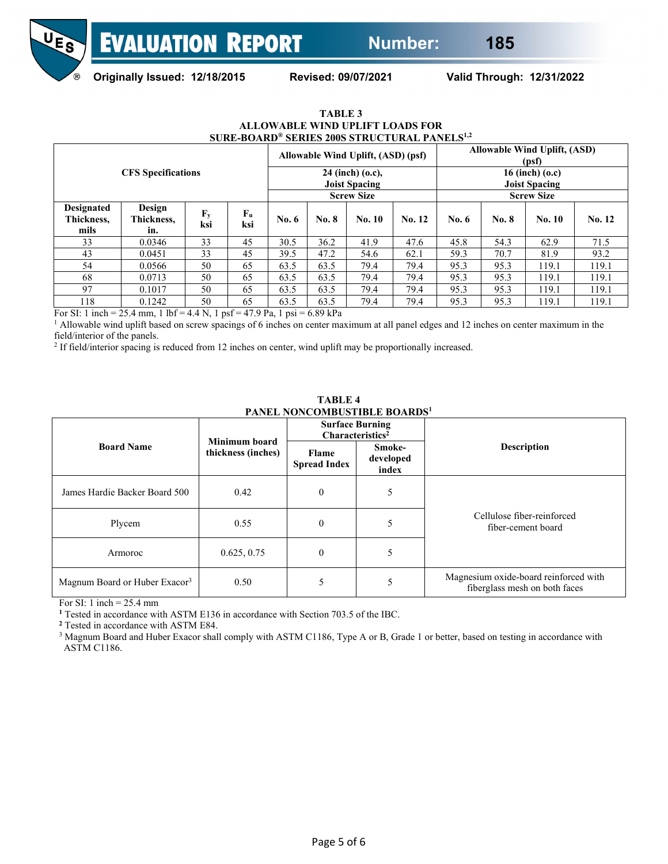

**Originally Issued: 12/18/2015 Revised: 09/07/2021 Valid Through: 12/31/2022**

| SURE-BOARD® SERIES 200S STRUCTURAL PANELS <sup>1,2</sup> |                             |                                  |                                                                             |         |                   |                                           |        |                   |       |        |        |
|----------------------------------------------------------|-----------------------------|----------------------------------|-----------------------------------------------------------------------------|---------|-------------------|-------------------------------------------|--------|-------------------|-------|--------|--------|
| <b>CFS</b> Specifications                                |                             |                                  | Allowable Wind Uplift, (ASD)<br>Allowable Wind Uplift, (ASD) (psf)<br>(psf) |         |                   |                                           |        |                   |       |        |        |
|                                                          |                             |                                  | 24 (inch) (o.c),<br><b>Joist Spacing</b>                                    |         |                   | 16 (inch) $(0.c)$<br><b>Joist Spacing</b> |        |                   |       |        |        |
|                                                          |                             |                                  |                                                                             |         | <b>Screw Size</b> |                                           |        | <b>Screw Size</b> |       |        |        |
| <b>Designated</b><br>Thickness.<br>mils                  | Design<br>Thickness,<br>in. | $\mathbf{F}_{\mathbf{y}}$<br>ksi | $F_u$<br>ksi                                                                | No. $6$ | <b>No. 8</b>      | No. 10                                    | No. 12 | No. 6             | No. 8 | No. 10 | No. 12 |
| 33                                                       | 0.0346                      | 33                               | 45                                                                          | 30.5    | 36.2              | 41.9                                      | 47.6   | 45.8              | 54.3  | 62.9   | 71.5   |
| 43                                                       | 0.0451                      | 33                               | 45                                                                          | 39.5    | 47.2              | 54.6                                      | 62.1   | 59.3              | 70.7  | 81.9   | 93.2   |
| 54                                                       | 0.0566                      | 50                               | 65                                                                          | 63.5    | 63.5              | 79.4                                      | 79.4   | 95.3              | 95.3  | 119.1  | 119.1  |
| 68                                                       | 0.0713                      | 50                               | 65                                                                          | 63.5    | 63.5              | 79.4                                      | 79.4   | 95.3              | 95.3  | 119.1  | 119.1  |
| 97                                                       | 0.1017                      | 50                               | 65                                                                          | 63.5    | 63.5              | 79.4                                      | 79.4   | 95.3              | 95.3  | 119.1  | 119.1  |
| 118                                                      | 0.1242                      | 50                               | 65                                                                          | 63.5    | 63.5              | 79.4                                      | 79.4   | 95.3              | 95.3  | 119.1  | 119.1  |

**TABLE 3 ALLOWABLE WIND UPLIFT LOADS FOR**

For SI: 1 inch = 25.4 mm, 1 lbf = 4.4 N, 1 psf = 47.9 Pa, 1 psi = 6.89 kPa

<sup>1</sup> Allowable wind uplift based on screw spacings of 6 inches on center maximum at all panel edges and 12 inches on center maximum in the field/interior of the panels.

<sup>2</sup> If field/interior spacing is reduced from 12 inches on center, wind uplift may be proportionally increased.

<span id="page-4-0"></span>

|                                           |                                     | <b>Surface Burning</b>       | Characteristics <sup>2</sup> |                                                                        |  |  |
|-------------------------------------------|-------------------------------------|------------------------------|------------------------------|------------------------------------------------------------------------|--|--|
| <b>Board Name</b>                         | Minimum board<br>thickness (inches) | Flame<br><b>Spread Index</b> | Smoke-<br>developed<br>index | <b>Description</b>                                                     |  |  |
| James Hardie Backer Board 500             | 0.42                                | $\theta$                     | 5                            |                                                                        |  |  |
| Plycem                                    | 0.55                                | $\overline{0}$               | 5                            | Cellulose fiber-reinforced<br>fiber-cement board                       |  |  |
| Armoroc                                   | 0.625, 0.75                         | $\theta$                     | 5                            |                                                                        |  |  |
| Magnum Board or Huber Exacor <sup>3</sup> | 0.50                                |                              | 5                            | Magnesium oxide-board reinforced with<br>fiberglass mesh on both faces |  |  |

**TABLE 4 PANEL NONCOMBUSTIBLE BOARDS1**

For SI: 1 inch  $= 25.4$  mm

**<sup>1</sup>** Tested in accordance with ASTM E136 in accordance with Section 703.5 of the IBC.

**<sup>2</sup>** Tested in accordance with ASTM E84.

<sup>3</sup> Magnum Board and Huber Exacor shall comply with ASTM C1186, Type A or B, Grade 1 or better, based on testing in accordance with ASTM C1186.